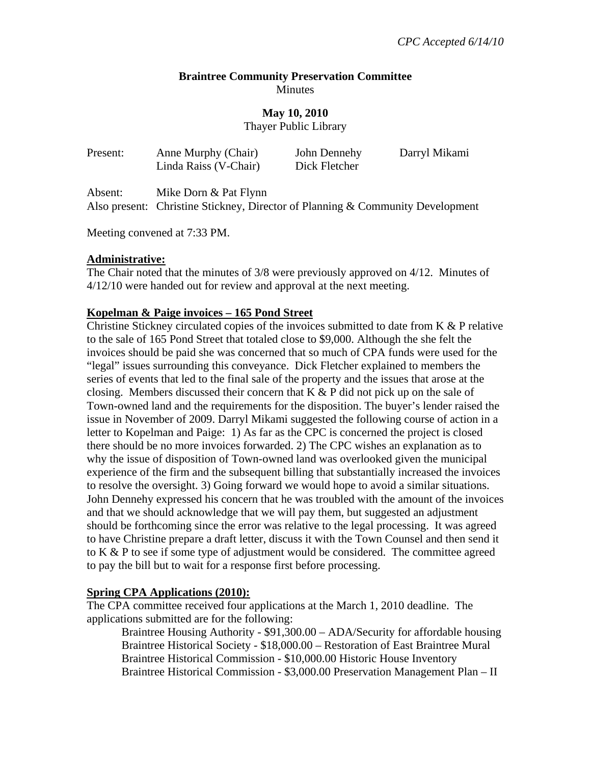#### **Braintree Community Preservation Committee Minutes**

**May 10, 2010** 

Thayer Public Library

| Present: | Anne Murphy (Chair)<br>Linda Raiss (V-Chair)                                                            | John Dennehy<br>Dick Fletcher | Darryl Mikami |
|----------|---------------------------------------------------------------------------------------------------------|-------------------------------|---------------|
| Absent:  | Mike Dorn & Pat Flynn<br>Also present: Christine Stickney, Director of Planning & Community Development |                               |               |

Meeting convened at 7:33 PM.

### **Administrative:**

The Chair noted that the minutes of 3/8 were previously approved on 4/12. Minutes of 4/12/10 were handed out for review and approval at the next meeting.

### **Kopelman & Paige invoices – 165 Pond Street**

Christine Stickney circulated copies of the invoices submitted to date from K & P relative to the sale of 165 Pond Street that totaled close to \$9,000. Although the she felt the invoices should be paid she was concerned that so much of CPA funds were used for the "legal" issues surrounding this conveyance. Dick Fletcher explained to members the series of events that led to the final sale of the property and the issues that arose at the closing. Members discussed their concern that K & P did not pick up on the sale of Town-owned land and the requirements for the disposition. The buyer's lender raised the issue in November of 2009. Darryl Mikami suggested the following course of action in a letter to Kopelman and Paige: 1) As far as the CPC is concerned the project is closed there should be no more invoices forwarded. 2) The CPC wishes an explanation as to why the issue of disposition of Town-owned land was overlooked given the municipal experience of the firm and the subsequent billing that substantially increased the invoices to resolve the oversight. 3) Going forward we would hope to avoid a similar situations. John Dennehy expressed his concern that he was troubled with the amount of the invoices and that we should acknowledge that we will pay them, but suggested an adjustment should be forthcoming since the error was relative to the legal processing. It was agreed to have Christine prepare a draft letter, discuss it with the Town Counsel and then send it to K & P to see if some type of adjustment would be considered. The committee agreed to pay the bill but to wait for a response first before processing.

### **Spring CPA Applications (2010):**

The CPA committee received four applications at the March 1, 2010 deadline. The applications submitted are for the following:

 Braintree Housing Authority - \$91,300.00 – ADA/Security for affordable housing Braintree Historical Society - \$18,000.00 – Restoration of East Braintree Mural Braintree Historical Commission - \$10,000.00 Historic House Inventory Braintree Historical Commission - \$3,000.00 Preservation Management Plan – II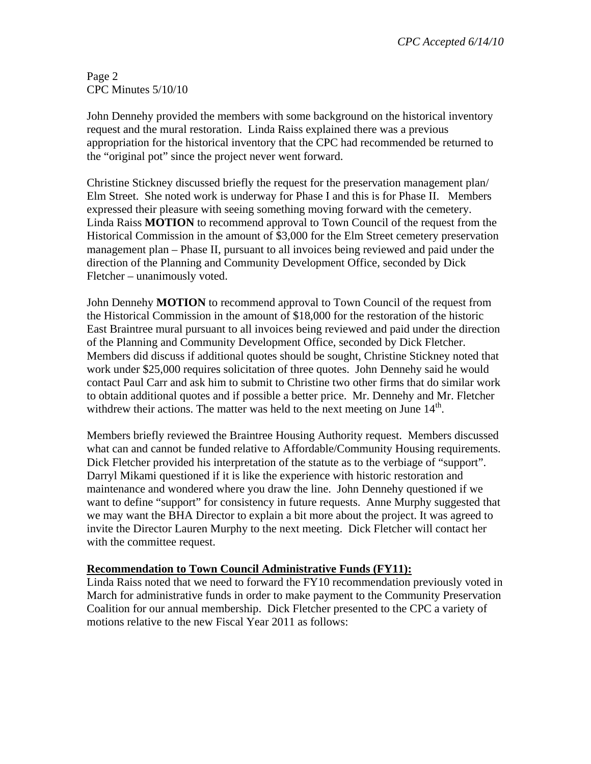Page 2 CPC Minutes 5/10/10

John Dennehy provided the members with some background on the historical inventory request and the mural restoration. Linda Raiss explained there was a previous appropriation for the historical inventory that the CPC had recommended be returned to the "original pot" since the project never went forward.

Christine Stickney discussed briefly the request for the preservation management plan/ Elm Street. She noted work is underway for Phase I and this is for Phase II. Members expressed their pleasure with seeing something moving forward with the cemetery. Linda Raiss **MOTION** to recommend approval to Town Council of the request from the Historical Commission in the amount of \$3,000 for the Elm Street cemetery preservation management plan – Phase II, pursuant to all invoices being reviewed and paid under the direction of the Planning and Community Development Office, seconded by Dick Fletcher – unanimously voted.

John Dennehy **MOTION** to recommend approval to Town Council of the request from the Historical Commission in the amount of \$18,000 for the restoration of the historic East Braintree mural pursuant to all invoices being reviewed and paid under the direction of the Planning and Community Development Office, seconded by Dick Fletcher. Members did discuss if additional quotes should be sought, Christine Stickney noted that work under \$25,000 requires solicitation of three quotes. John Dennehy said he would contact Paul Carr and ask him to submit to Christine two other firms that do similar work to obtain additional quotes and if possible a better price. Mr. Dennehy and Mr. Fletcher withdrew their actions. The matter was held to the next meeting on June  $14<sup>th</sup>$ .

Members briefly reviewed the Braintree Housing Authority request. Members discussed what can and cannot be funded relative to Affordable/Community Housing requirements. Dick Fletcher provided his interpretation of the statute as to the verbiage of "support". Darryl Mikami questioned if it is like the experience with historic restoration and maintenance and wondered where you draw the line. John Dennehy questioned if we want to define "support" for consistency in future requests. Anne Murphy suggested that we may want the BHA Director to explain a bit more about the project. It was agreed to invite the Director Lauren Murphy to the next meeting. Dick Fletcher will contact her with the committee request.

## **Recommendation to Town Council Administrative Funds (FY11):**

Linda Raiss noted that we need to forward the FY10 recommendation previously voted in March for administrative funds in order to make payment to the Community Preservation Coalition for our annual membership. Dick Fletcher presented to the CPC a variety of motions relative to the new Fiscal Year 2011 as follows: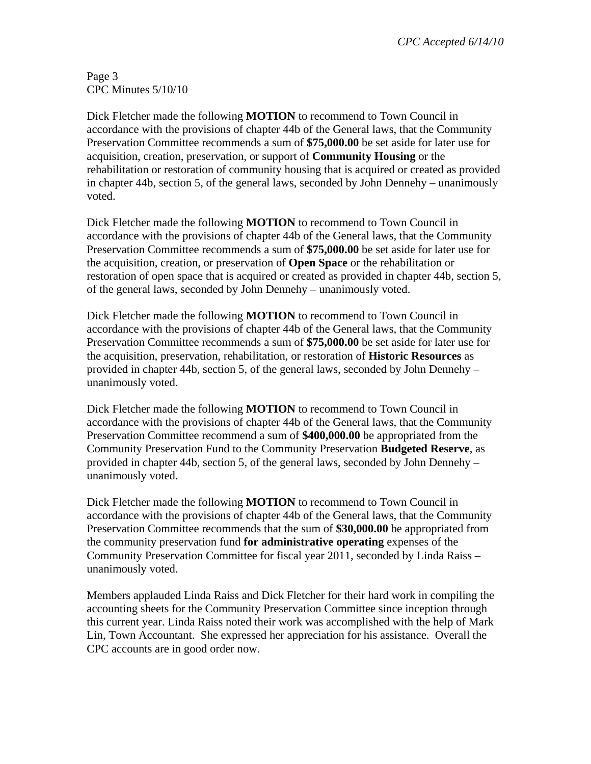*CPC Accepted 6/14/10* 

Page 3 CPC Minutes 5/10/10

Dick Fletcher made the following **MOTION** to recommend to Town Council in accordance with the provisions of chapter 44b of the General laws, that the Community Preservation Committee recommends a sum of **\$75,000.00** be set aside for later use for acquisition, creation, preservation, or support of **Community Housing** or the rehabilitation or restoration of community housing that is acquired or created as provided in chapter 44b, section 5, of the general laws, seconded by John Dennehy – unanimously voted.

Dick Fletcher made the following **MOTION** to recommend to Town Council in accordance with the provisions of chapter 44b of the General laws, that the Community Preservation Committee recommends a sum of **\$75,000.00** be set aside for later use for the acquisition, creation, or preservation of **Open Space** or the rehabilitation or restoration of open space that is acquired or created as provided in chapter 44b, section 5, of the general laws, seconded by John Dennehy – unanimously voted.

Dick Fletcher made the following **MOTION** to recommend to Town Council in accordance with the provisions of chapter 44b of the General laws, that the Community Preservation Committee recommends a sum of **\$75,000.00** be set aside for later use for the acquisition, preservation, rehabilitation, or restoration of **Historic Resources** as provided in chapter 44b, section 5, of the general laws, seconded by John Dennehy – unanimously voted.

Dick Fletcher made the following **MOTION** to recommend to Town Council in accordance with the provisions of chapter 44b of the General laws, that the Community Preservation Committee recommend a sum of **\$400,000.00** be appropriated from the Community Preservation Fund to the Community Preservation **Budgeted Reserve**, as provided in chapter 44b, section 5, of the general laws, seconded by John Dennehy – unanimously voted.

Dick Fletcher made the following **MOTION** to recommend to Town Council in accordance with the provisions of chapter 44b of the General laws, that the Community Preservation Committee recommends that the sum of **\$30,000.00** be appropriated from the community preservation fund **for administrative operating** expenses of the Community Preservation Committee for fiscal year 2011, seconded by Linda Raiss – unanimously voted.

Members applauded Linda Raiss and Dick Fletcher for their hard work in compiling the accounting sheets for the Community Preservation Committee since inception through this current year. Linda Raiss noted their work was accomplished with the help of Mark Lin, Town Accountant. She expressed her appreciation for his assistance. Overall the CPC accounts are in good order now.